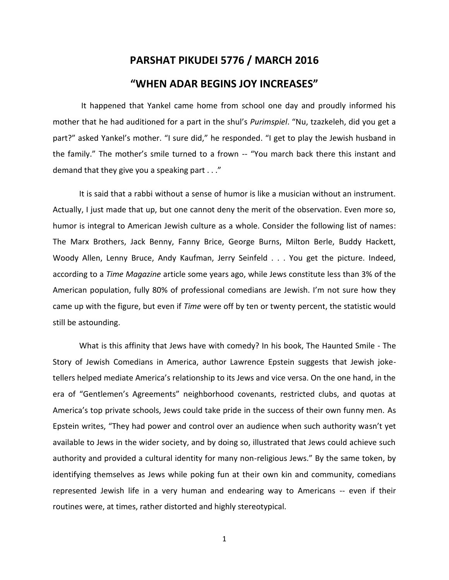## **PARSHAT PIKUDEI 5776 / MARCH 2016**

## **"WHEN ADAR BEGINS JOY INCREASES"**

It happened that Yankel came home from school one day and proudly informed his mother that he had auditioned for a part in the shul's *Purimspiel*. "Nu, tzazkeleh, did you get a part?" asked Yankel's mother. "I sure did," he responded. "I get to play the Jewish husband in the family." The mother's smile turned to a frown -- "You march back there this instant and demand that they give you a speaking part . . ."

It is said that a rabbi without a sense of humor is like a musician without an instrument. Actually, I just made that up, but one cannot deny the merit of the observation. Even more so, humor is integral to American Jewish culture as a whole. Consider the following list of names: The Marx Brothers, Jack Benny, Fanny Brice, George Burns, Milton Berle, Buddy Hackett, Woody Allen, Lenny Bruce, Andy Kaufman, Jerry Seinfeld . . . You get the picture. Indeed, according to a *Time Magazine* article some years ago, while Jews constitute less than 3% of the American population, fully 80% of professional comedians are Jewish. I'm not sure how they came up with the figure, but even if *Time* were off by ten or twenty percent, the statistic would still be astounding.

What is this affinity that Jews have with comedy? In his book, The Haunted Smile - The Story of Jewish Comedians in America, author Lawrence Epstein suggests that Jewish joketellers helped mediate America's relationship to its Jews and vice versa. On the one hand, in the era of "Gentlemen's Agreements" neighborhood covenants, restricted clubs, and quotas at America's top private schools, Jews could take pride in the success of their own funny men. As Epstein writes, "They had power and control over an audience when such authority wasn't yet available to Jews in the wider society, and by doing so, illustrated that Jews could achieve such authority and provided a cultural identity for many non-religious Jews." By the same token, by identifying themselves as Jews while poking fun at their own kin and community, comedians represented Jewish life in a very human and endearing way to Americans -- even if their routines were, at times, rather distorted and highly stereotypical.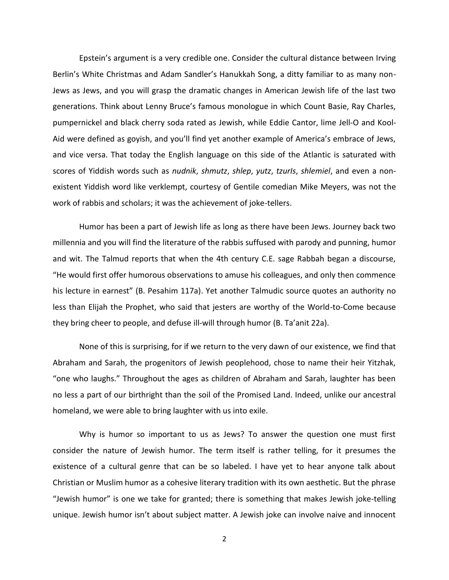Epstein's argument is a very credible one. Consider the cultural distance between Irving Berlin's White Christmas and Adam Sandler's Hanukkah Song, a ditty familiar to as many non-Jews as Jews, and you will grasp the dramatic changes in American Jewish life of the last two generations. Think about Lenny Bruce's famous monologue in which Count Basie, Ray Charles, pumpernickel and black cherry soda rated as Jewish, while Eddie Cantor, lime Jell-O and Kool-Aid were defined as goyish, and you'll find yet another example of America's embrace of Jews, and vice versa. That today the English language on this side of the Atlantic is saturated with scores of Yiddish words such as *nudnik*, *shmutz*, *shlep*, *yutz*, *tzurIs*, *shlemiel*, and even a nonexistent Yiddish word like verklempt, courtesy of Gentile comedian Mike Meyers, was not the work of rabbis and scholars; it was the achievement of joke-tellers.

Humor has been a part of Jewish life as long as there have been Jews. Journey back two millennia and you will find the literature of the rabbis suffused with parody and punning, humor and wit. The Talmud reports that when the 4th century C.E. sage Rabbah began a discourse, "He would first offer humorous observations to amuse his colleagues, and only then commence his lecture in earnest" (B. Pesahim 117a). Yet another Talmudic source quotes an authority no less than Elijah the Prophet, who said that jesters are worthy of the World-to-Come because they bring cheer to people, and defuse ill-will through humor (B. Ta'anit 22a).

None of this is surprising, for if we return to the very dawn of our existence, we find that Abraham and Sarah, the progenitors of Jewish peoplehood, chose to name their heir Yitzhak, "one who laughs." Throughout the ages as children of Abraham and Sarah, laughter has been no less a part of our birthright than the soil of the Promised Land. Indeed, unlike our ancestral homeland, we were able to bring laughter with us into exile.

Why is humor so important to us as Jews? To answer the question one must first consider the nature of Jewish humor. The term itself is rather telling, for it presumes the existence of a cultural genre that can be so labeled. I have yet to hear anyone talk about Christian or Muslim humor as a cohesive literary tradition with its own aesthetic. But the phrase "Jewish humor" is one we take for granted; there is something that makes Jewish joke-telling unique. Jewish humor isn't about subject matter. A Jewish joke can involve naive and innocent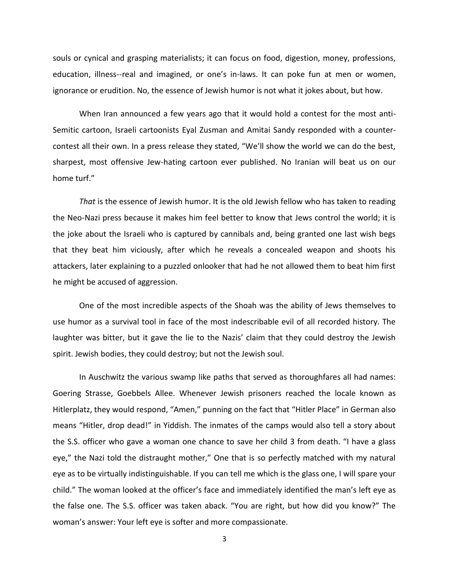souls or cynical and grasping materialists; it can focus on food, digestion, money, professions, education, illness--real and imagined, or one's in-laws. It can poke fun at men or women, ignorance or erudition. No, the essence of Jewish humor is not what it jokes about, but how.

When Iran announced a few years ago that it would hold a contest for the most anti-Semitic cartoon, Israeli cartoonists Eyal Zusman and Amitai Sandy responded with a countercontest all their own. In a press release they stated, "We'll show the world we can do the best, sharpest, most offensive Jew-hating cartoon ever published. No Iranian will beat us on our home turf."

*That* is the essence of Jewish humor. It is the old Jewish fellow who has taken to reading the Neo-Nazi press because it makes him feel better to know that Jews control the world; it is the joke about the Israeli who is captured by cannibals and, being granted one last wish begs that they beat him viciously, after which he reveals a concealed weapon and shoots his attackers, later explaining to a puzzled onlooker that had he not allowed them to beat him first he might be accused of aggression.

One of the most incredible aspects of the Shoah was the ability of Jews themselves to use humor as a survival tool in face of the most indescribable evil of all recorded history. The laughter was bitter, but it gave the lie to the Nazis' claim that they could destroy the Jewish spirit. Jewish bodies, they could destroy; but not the Jewish soul.

In Auschwitz the various swamp like paths that served as thoroughfares all had names: Goering Strasse, Goebbels Allee. Whenever Jewish prisoners reached the locale known as Hitlerplatz, they would respond, "Amen," punning on the fact that "Hitler Place" in German also means "Hitler, drop dead!" in Yiddish. The inmates of the camps would also tell a story about the S.S. officer who gave a woman one chance to save her child 3 from death. "I have a glass eye," the Nazi told the distraught mother," One that is so perfectly matched with my natural eye as to be virtually indistinguishable. If you can tell me which is the glass one, I will spare your child." The woman looked at the officer's face and immediately identified the man's left eye as the false one. The S.S. officer was taken aback. "You are right, but how did you know?" The woman's answer: Your left eye is softer and more compassionate.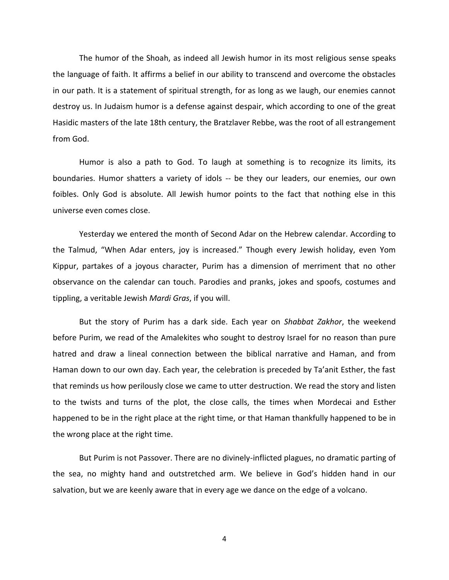The humor of the Shoah, as indeed all Jewish humor in its most religious sense speaks the language of faith. It affirms a belief in our ability to transcend and overcome the obstacles in our path. It is a statement of spiritual strength, for as long as we laugh, our enemies cannot destroy us. In Judaism humor is a defense against despair, which according to one of the great Hasidic masters of the late 18th century, the Bratzlaver Rebbe, was the root of all estrangement from God.

Humor is also a path to God. To laugh at something is to recognize its limits, its boundaries. Humor shatters a variety of idols -- be they our leaders, our enemies, our own foibles. Only God is absolute. All Jewish humor points to the fact that nothing else in this universe even comes close.

Yesterday we entered the month of Second Adar on the Hebrew calendar. According to the Talmud, "When Adar enters, joy is increased." Though every Jewish holiday, even Yom Kippur, partakes of a joyous character, Purim has a dimension of merriment that no other observance on the calendar can touch. Parodies and pranks, jokes and spoofs, costumes and tippling, a veritable Jewish *Mardi Gras*, if you will.

But the story of Purim has a dark side. Each year on *Shabbat Zakhor*, the weekend before Purim, we read of the Amalekites who sought to destroy Israel for no reason than pure hatred and draw a lineal connection between the biblical narrative and Haman, and from Haman down to our own day. Each year, the celebration is preceded by Ta'anit Esther, the fast that reminds us how perilously close we came to utter destruction. We read the story and listen to the twists and turns of the plot, the close calls, the times when Mordecai and Esther happened to be in the right place at the right time, or that Haman thankfully happened to be in the wrong place at the right time.

But Purim is not Passover. There are no divinely-inflicted plagues, no dramatic parting of the sea, no mighty hand and outstretched arm. We believe in God's hidden hand in our salvation, but we are keenly aware that in every age we dance on the edge of a volcano.